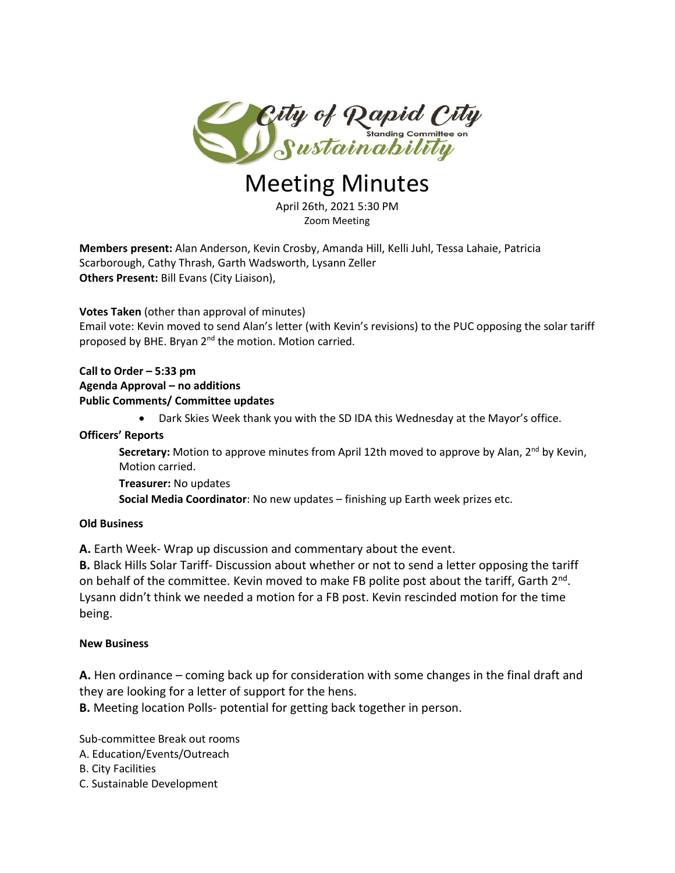

# Meeting Minutes

April 26th, 2021 5:30 PM Zoom Meeting

**Members present:** Alan Anderson, Kevin Crosby, Amanda Hill, Kelli Juhl, Tessa Lahaie, Patricia Scarborough, Cathy Thrash, Garth Wadsworth, Lysann Zeller **Others Present:** Bill Evans (City Liaison),

**Votes Taken** (other than approval of minutes)

Email vote: Kevin moved to send Alan's letter (with Kevin's revisions) to the PUC opposing the solar tariff proposed by BHE. Bryan 2<sup>nd</sup> the motion. Motion carried.

#### **Call to Order – 5:33 pm Agenda Approval – no additions Public Comments/ Committee updates**

Dark Skies Week thank you with the SD IDA this Wednesday at the Mayor's office.

#### **Officers' Reports**

Secretary: Motion to approve minutes from April 12th moved to approve by Alan, 2<sup>nd</sup> by Kevin, Motion carried.

**Treasurer:** No updates

**Social Media Coordinator**: No new updates – finishing up Earth week prizes etc.

## **Old Business**

**A.** Earth Week- Wrap up discussion and commentary about the event.

**B.** Black Hills Solar Tariff- Discussion about whether or not to send a letter opposing the tariff on behalf of the committee. Kevin moved to make FB polite post about the tariff, Garth 2<sup>nd</sup>. Lysann didn't think we needed a motion for a FB post. Kevin rescinded motion for the time being.

## **New Business**

**A.** Hen ordinance – coming back up for consideration with some changes in the final draft and they are looking for a letter of support for the hens.

**B.** Meeting location Polls- potential for getting back together in person.

Sub-committee Break out rooms

- A. Education/Events/Outreach
- B. City Facilities
- C. Sustainable Development